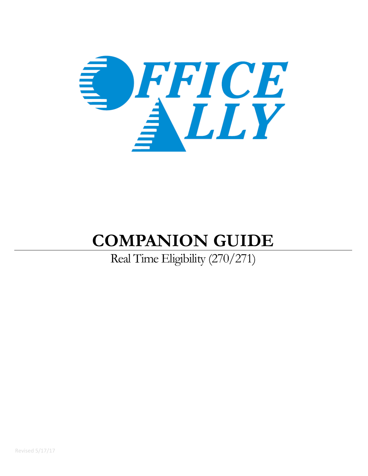

# **COMPANION GUIDE**

# Real Time Eligibility (270/271)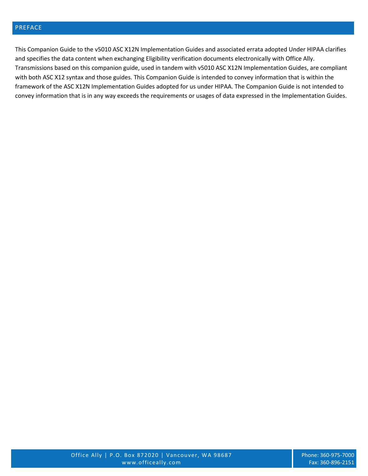## PREFACE

This Companion Guide to the v5010 ASC X12N Implementation Guides and associated errata adopted Under HIPAA clarifies and specifies the data content when exchanging Eligibility verification documents electronically with Office Ally. Transmissions based on this companion guide, used in tandem with v5010 ASC X12N Implementation Guides, are compliant with both ASC X12 syntax and those guides. This Companion Guide is intended to convey information that is within the framework of the ASC X12N Implementation Guides adopted for us under HIPAA. The Companion Guide is not intended to convey information that is in any way exceeds the requirements or usages of data expressed in the Implementation Guides.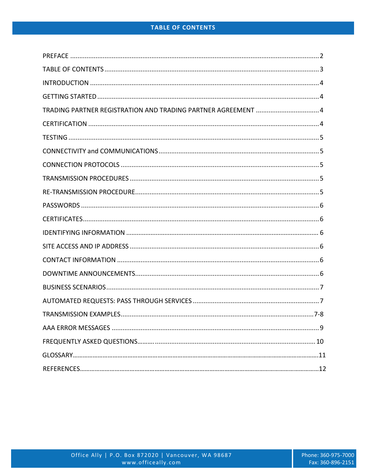| TRADING PARTNER REGISTRATION AND TRADING PARTNER AGREEMENT  4 |  |
|---------------------------------------------------------------|--|
|                                                               |  |
|                                                               |  |
|                                                               |  |
|                                                               |  |
|                                                               |  |
|                                                               |  |
|                                                               |  |
|                                                               |  |
|                                                               |  |
|                                                               |  |
|                                                               |  |
|                                                               |  |
|                                                               |  |
|                                                               |  |
|                                                               |  |
|                                                               |  |
|                                                               |  |
|                                                               |  |
|                                                               |  |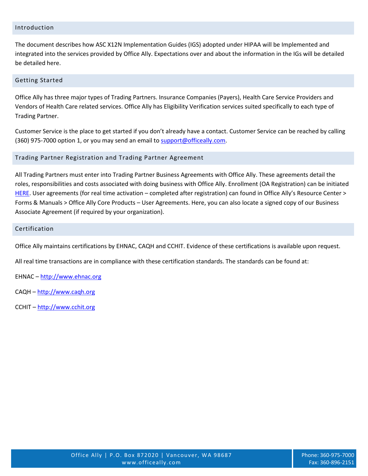#### Introduction

The document describes how ASC X12N Implementation Guides (IGS) adopted under HIPAA will be Implemented and integrated into the services provided by Office Ally. Expectations over and about the information in the IGs will be detailed be detailed here.

#### Getting Started

Office Ally has three major types of Trading Partners. Insurance Companies (Payers), Health Care Service Providers and Vendors of Health Care related services. Office Ally has Eligibility Verification services suited specifically to each type of Trading Partner.

Customer Service is the place to get started if you don't already have a contact. Customer Service can be reached by calling (360) 975-7000 option 1, or you may send an email t[o support@officeally.com.](mailto:support@officeally.com)

#### Trading Partner Registration and Trading Partner Agreement

All Trading Partners must enter into Trading Partner Business Agreements with Office Ally. These agreements detail the roles, responsibilities and costs associated with doing business with Office Ally. Enrollment (OA Registration) can be initiated [HERE.](https://cms.officeally.com/Register/Register.aspx) User agreements (for real time activation – completed after registration) can found in Office Ally's Resource Center > Forms & Manuals > Office Ally Core Products – User Agreements. Here, you can also locate a signed copy of our Business Associate Agreement (if required by your organization).

#### Certification

Office Ally maintains certifications by EHNAC, CAQH and CCHIT. Evidence of these certifications is available upon request.

All real time transactions are in compliance with these certification standards. The standards can be found at:

EHNAC – [http://www.ehnac.org](http://www.ehnac.org/)

- CAQH [http://www.caqh.org](http://www.caqh.org/)
- CCHIT [http://www.cchit.org](http://www.cchit.org/)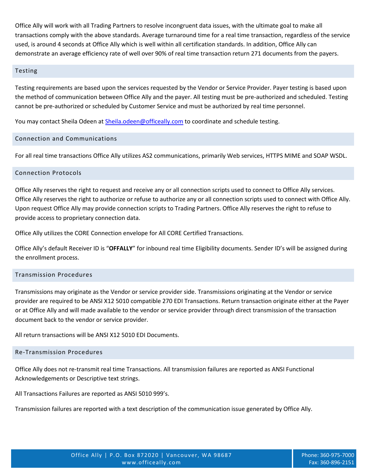Office Ally will work with all Trading Partners to resolve incongruent data issues, with the ultimate goal to make all transactions comply with the above standards. Average turnaround time for a real time transaction, regardless of the service used, is around 4 seconds at Office Ally which is well within all certification standards. In addition, Office Ally can demonstrate an average efficiency rate of well over 90% of real time transaction return 271 documents from the payers.

#### Testing

Testing requirements are based upon the services requested by the Vendor or Service Provider. Payer testing is based upon the method of communication between Office Ally and the payer. All testing must be pre-authorized and scheduled. Testing cannot be pre-authorized or scheduled by Customer Service and must be authorized by real time personnel.

You may contact Sheila Odeen at [Sheila.odeen@officeally.com](mailto:Sheila.odeen@officeally.com) to coordinate and schedule testing.

# Connection and Communications

For all real time transactions Office Ally utilizes AS2 communications, primarily Web services, HTTPS MIME and SOAP WSDL.

# Connection Protocols

Office Ally reserves the right to request and receive any or all connection scripts used to connect to Office Ally services. Office Ally reserves the right to authorize or refuse to authorize any or all connection scripts used to connect with Office Ally. Upon request Office Ally may provide connection scripts to Trading Partners. Office Ally reserves the right to refuse to provide access to proprietary connection data.

Office Ally utilizes the CORE Connection envelope for All CORE Certified Transactions.

Office Ally's default Receiver ID is "**OFFALLY**" for inbound real time Eligibility documents. Sender ID's will be assigned during the enrollment process.

# Transmission Procedures

Transmissions may originate as the Vendor or service provider side. Transmissions originating at the Vendor or service provider are required to be ANSI X12 5010 compatible 270 EDI Transactions. Return transaction originate either at the Payer or at Office Ally and will made available to the vendor or service provider through direct transmission of the transaction document back to the vendor or service provider.

All return transactions will be ANSI X12 5010 EDI Documents.

#### Re-Transmission Procedures

Office Ally does not re-transmit real time Transactions. All transmission failures are reported as ANSI Functional Acknowledgements or Descriptive text strings.

All Transactions Failures are reported as ANSI 5010 999's.

Transmission failures are reported with a text description of the communication issue generated by Office Ally.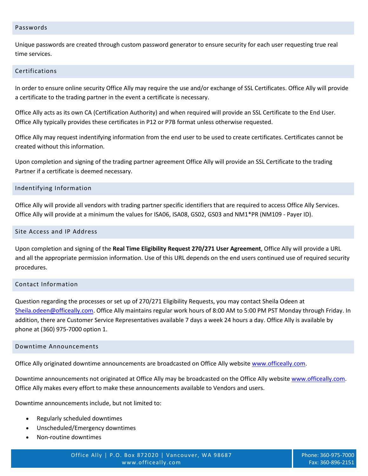#### Passwords

Unique passwords are created through custom password generator to ensure security for each user requesting true real time services.

#### Certifications

In order to ensure online security Office Ally may require the use and/or exchange of SSL Certificates. Office Ally will provide a certificate to the trading partner in the event a certificate is necessary.

Office Ally acts as its own CA (Certification Authority) and when required will provide an SSL Certificate to the End User. Office Ally typically provides these certificates in P12 or P7B format unless otherwise requested.

Office Ally may request indentifying information from the end user to be used to create certificates. Certificates cannot be created without this information.

Upon completion and signing of the trading partner agreement Office Ally will provide an SSL Certificate to the trading Partner if a certificate is deemed necessary.

#### Indentifying Information

Office Ally will provide all vendors with trading partner specific identifiers that are required to access Office Ally Services. Office Ally will provide at a minimum the values for ISA06, ISA08, GS02, GS03 and NM1\*PR (NM109 - Payer ID).

#### Site Access and IP Address

Upon completion and signing of the **Real Time Eligibility Request 270/271 User Agreement**, Office Ally will provide a URL and all the appropriate permission information. Use of this URL depends on the end users continued use of required security procedures.

# Contact Information

Question regarding the processes or set up of 270/271 Eligibility Requests, you may contact Sheila Odeen at [Sheila.odeen@officeally.com.](mailto:Sheila.odeen@officeally.com) Office Ally maintains regular work hours of 8:00 AM to 5:00 PM PST Monday through Friday. In addition, there are Customer Service Representatives available 7 days a week 24 hours a day. Office Ally is available by phone at (360) 975-7000 option 1.

#### Downtime Announcements

Office Ally originated downtime announcements are broadcasted on Office Ally website [www.officeally.com.](http://www.officeally.com/)

Downtime announcements not originated at Office Ally may be broadcasted on the Office Ally website [www.officeally.com.](http://www.officeally.com/) Office Ally makes every effort to make these announcements available to Vendors and users.

Downtime announcements include, but not limited to:

- Regularly scheduled downtimes
- Unscheduled/Emergency downtimes
- Non-routine downtimes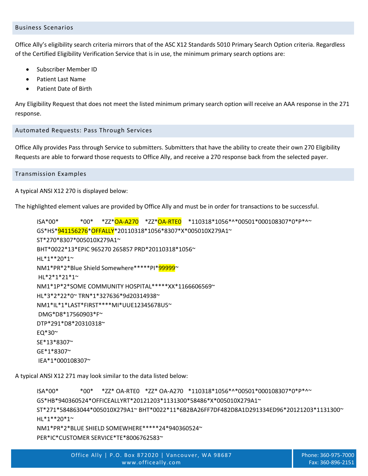#### Business Scenarios

Office Ally's eligibility search criteria mirrors that of the ASC X12 Standards 5010 Primary Search Option criteria. Regardless of the Certified Eligibility Verification Service that is in use, the minimum primary search options are:

- Subscriber Member ID
- Patient Last Name
- Patient Date of Birth

Any Eligibility Request that does not meet the listed minimum primary search option will receive an AAA response in the 271 response.

# Automated Requests: Pass Through Services

Office Ally provides Pass through Service to submitters. Submitters that have the ability to create their own 270 Eligibility Requests are able to forward those requests to Office Ally, and receive a 270 response back from the selected payer.

Transmission Examples

A typical ANSI X12 270 is displayed below:

The highlighted element values are provided by Office Ally and must be in order for transactions to be successful.

ISA\*00\* \*00\* \*ZZ\*OA-A270 \*ZZ\*OA-RTE0 \*110318\*1056\*^\*00501\*000108307\*0\*P\*^~ GS\*HS\*941156276\*OFFALLY\*20110318\*1056\*8307\*X\*005010X279A1~ ST\*270\*8307\*005010X279A1~ BHT\*0022\*13\*EPIC 965270 265857 PRD\*20110318\*1056~ HL\*1\*\*20\*1~ NM1\*PR\*2\*Blue Shield Somewhere\*\*\*\*\*PI\*99999~ HL\*2\*1\*21\*1~ NM1\*1P\*2\*SOME COMMUNITY HOSPITAL\*\*\*\*\*XX\*1166606569~ HL\*3\*2\*22\*0~ TRN\*1\*327636\*9d20314938~ NM1\*IL\*1\*LAST\*FIRST\*\*\*\*MI\*UUE12345678U5~ DMG\*D8\*17560903\*F~ DTP\*291\*D8\*20310318~ EQ\*30~ SE\*13\*8307~ GE\*1\*8307~ IEA\*1\*000108307~

A typical ANSI X12 271 may look similar to the data listed below:

ISA\*00\* \*00\* \*ZZ\* OA-RTE0 \*ZZ\* OA-A270 \*110318\*1056\*^\*00501\*000108307\*0\*P\*^~ GS\*HB\*940360524\*OFFICEALLYRT\*20121203\*1131300\*58486\*X\*005010X279A1~ ST\*271\*584863044\*005010X279A1~ BHT\*0022\*11\*6B2BA26FF7DF482D8A1D291334ED96\*20121203\*1131300~ HL\*1\*\*20\*1~ NM1\*PR\*2\*BLUE SHIELD SOMEWHERE\*\*\*\*\*24\*940360524~ PER\*IC\*CUSTOMER SERVICE\*TE\*8006762583~

Office Ally | P.O. Box 872020 | Vancouver, WA 98687 [www.officeally.com](http://www.officeally.com/)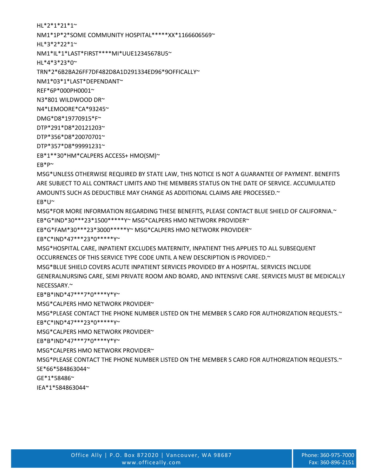ARE SUBJECT TO ALL CONTRACT LIMITS AND THE MEMBERS STATUS ON THE DATE OF SERVICE. ACCUMULATED

MSG\*FOR MORE INFORMATION REGARDING THESE BENEFITS, PLEASE CONTACT BLUE SHIELD OF CALIFORNIA.~

GENERALNURSING CARE, SEMI PRIVATE ROOM AND BOARD, AND INTENSIVE CARE. SERVICES MUST BE MEDICALLY

MSG\*PLEASE CONTACT THE PHONE NUMBER LISTED ON THE MEMBER S CARD FOR AUTHORIZATION REQUESTS.~

MSG\*PLEASE CONTACT THE PHONE NUMBER LISTED ON THE MEMBER S CARD FOR AUTHORIZATION REQUESTS.~

MSG\*HOSPITAL CARE, INPATIENT EXCLUDES MATERNITY, INPATIENT THIS APPLIES TO ALL SUBSEQUENT

MSG\*BLUE SHIELD COVERS ACUTE INPATIENT SERVICES PROVIDED BY A HOSPITAL. SERVICES INCLUDE

AMOUNTS SUCH AS DEDUCTIBLE MAY CHANGE AS ADDITIONAL CLAIMS ARE PROCESSED.~

OCCURRENCES OF THIS SERVICE TYPE CODE UNTIL A NEW DESCRIPTION IS PROVIDED.~

EB\*G\*IND\*30\*\*\*23\*1500\*\*\*\*\*Y~ MSG\*CALPERS HMO NETWORK PROVIDER~ EB\*G\*FAM\*30\*\*\*23\*3000\*\*\*\*\*Y~ MSG\*CALPERS HMO NETWORK PROVIDER~

IEA\*1\*584863044~

GE\*1\*58486~

SE\*66\*584863044~

EB\*P~ MSG\*UNLESS OTHERWISE REQUIRED BY STATE LAW, THIS NOTICE IS NOT A GUARANTEE OF PAYMENT. BENEFITS

EB\*C\*IND\*47\*\*\*23\*0\*\*\*\*\*Y~

EB\*B\*IND\*47\*\*\*7\*0\*\*\*\*Y\*Y~

EB\*C\*IND\*47\*\*\*23\*0\*\*\*\*\*Y~

EB\*B\*IND\*47\*\*\*7\*0\*\*\*\*Y\*Y~

MSG\*CALPERS HMO NETWORK PROVIDER~

MSG\*CALPERS HMO NETWORK PROVIDER~

MSG\*CALPERS HMO NETWORK PROVIDER~

EB\*U~

NECESSARY.<sup>~</sup>

EB\*1\*\*30\*HM\*CALPERS ACCESS+ HMO(SM)~

DTP\*357\*D8\*99991231~

DTP\*356\*D8\*20070701~

DTP\*291\*D8\*20121203~

DMG\*D8\*19770915\*F~

N4\*LEMOORE\*CA\*93245~

N3\*801 WILDWOOD DR~

REF\*6P\*000PH0001~

NM1\*03\*1\*LAST\*DEPENDANT~

TRN\*2\*6B2BA26FF7DF482D8A1D291334ED96\*9OFFICALLY~

HL\*4\*3\*23\*0~

NM1\*IL\*1\*LAST\*FIRST\*\*\*\*MI\*UUE12345678U5~

NM1\*1P\*2\*SOME COMMUNITY HOSPITAL\*\*\*\*\*XX\*1166606569~ HL\*3\*2\*22\*1~

HL\*2\*1\*21\*1~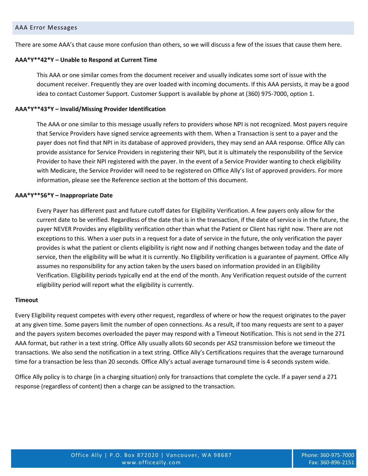There are some AAA's that cause more confusion than others, so we will discuss a few of the issues that cause them here.

#### **AAA\*Y\*\*42\*Y – Unable to Respond at Current Time**

This AAA or one similar comes from the document receiver and usually indicates some sort of issue with the document receiver. Frequently they are over loaded with incoming documents. If this AAA persists, it may be a good idea to contact Customer Support. Customer Support is available by phone at (360) 975-7000, option 1.

#### **AAA\*Y\*\*43\*Y – Invalid/Missing Provider Identification**

The AAA or one similar to this message usually refers to providers whose NPI is not recognized. Most payers require that Service Providers have signed service agreements with them. When a Transaction is sent to a payer and the payer does not find that NPI in its database of approved providers, they may send an AAA response. Office Ally can provide assistance for Service Providers in registering their NPI, but it is ultimately the responsibility of the Service Provider to have their NPI registered with the payer. In the event of a Service Provider wanting to check eligibility with Medicare, the Service Provider will need to be registered on Office Ally's list of approved providers. For more information, please see the Reference section at the bottom of this document.

#### **AAA\*Y\*\*56\*Y – Inappropriate Date**

Every Payer has different past and future cutoff dates for Eligibility Verification. A few payers only allow for the current date to be verified. Regardless of the date that is in the transaction, if the date of service is in the future, the payer NEVER Provides any eligibility verification other than what the Patient or Client has right now. There are not exceptions to this. When a user puts in a request for a date of service in the future, the only verification the payer provides is what the patient or clients eligibility is right now and if nothing changes between today and the date of service, then the eligibility will be what it is currently. No Eligibility verification is a guarantee of payment. Office Ally assumes no responsibility for any action taken by the users based on information provided in an Eligibility Verification. Eligibility periods typically end at the end of the month. Any Verification request outside of the current eligibility period will report what the eligibility is currently.

#### **Timeout**

Every Eligibility request competes with every other request, regardless of where or how the request originates to the payer at any given time. Some payers limit the number of open connections. As a result, if too many requests are sent to a payer and the payers system becomes overloaded the payer may respond with a Timeout Notification. This is not send in the 271 AAA format, but rather in a text string. Office Ally usually allots 60 seconds per AS2 transmission before we timeout the transactions. We also send the notification in a text string. Office Ally's Certifications requires that the average turnaround time for a transaction be less than 20 seconds. Office Ally's actual average turnaround time is 4 seconds system wide.

Office Ally policy is to charge (in a charging situation) only for transactions that complete the cycle. If a payer send a 271 response (regardless of content) then a charge can be assigned to the transaction.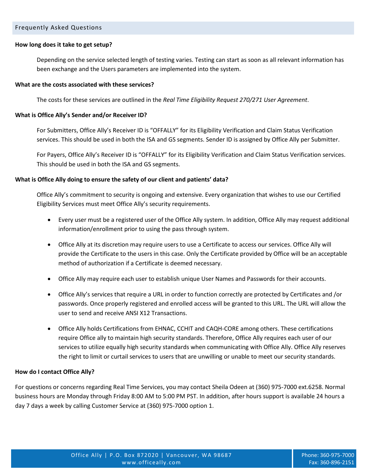#### Frequently Asked Questions

#### **How long does it take to get setup?**

Depending on the service selected length of testing varies. Testing can start as soon as all relevant information has been exchange and the Users parameters are implemented into the system.

#### **What are the costs associated with these services?**

The costs for these services are outlined in the *Real Time Eligibility Request 270/271 User Agreement*.

#### **What is Office Ally's Sender and/or Receiver ID?**

For Submitters, Office Ally's Receiver ID is "OFFALLY" for its Eligibility Verification and Claim Status Verification services. This should be used in both the ISA and GS segments. Sender ID is assigned by Office Ally per Submitter.

For Payers, Office Ally's Receiver ID is "OFFALLY" for its Eligibility Verification and Claim Status Verification services. This should be used in both the ISA and GS segments.

#### **What is Office Ally doing to ensure the safety of our client and patients' data?**

Office Ally's commitment to security is ongoing and extensive. Every organization that wishes to use our Certified Eligibility Services must meet Office Ally's security requirements.

- Every user must be a registered user of the Office Ally system. In addition, Office Ally may request additional information/enrollment prior to using the pass through system.
- Office Ally at its discretion may require users to use a Certificate to access our services. Office Ally will provide the Certificate to the users in this case. Only the Certificate provided by Office will be an acceptable method of authorization if a Certificate is deemed necessary.
- Office Ally may require each user to establish unique User Names and Passwords for their accounts.
- Office Ally's services that require a URL in order to function correctly are protected by Certificates and /or passwords. Once properly registered and enrolled access will be granted to this URL. The URL will allow the user to send and receive ANSI X12 Transactions.
- Office Ally holds Certifications from EHNAC, CCHIT and CAQH-CORE among others. These certifications require Office ally to maintain high security standards. Therefore, Office Ally requires each user of our services to utilize equally high security standards when communicating with Office Ally. Office Ally reserves the right to limit or curtail services to users that are unwilling or unable to meet our security standards.

#### **How do I contact Office Ally?**

For questions or concerns regarding Real Time Services, you may contact Sheila Odeen at (360) 975-7000 ext.6258. Normal business hours are Monday through Friday 8:00 AM to 5:00 PM PST. In addition, after hours support is available 24 hours a day 7 days a week by calling Customer Service at (360) 975-7000 option 1.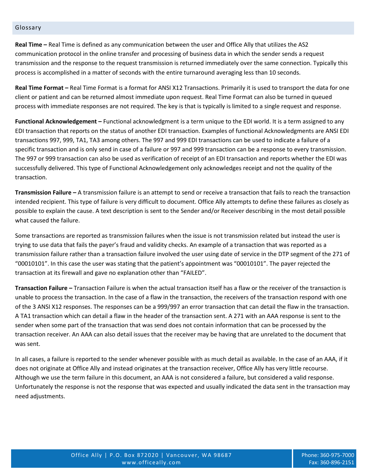#### Glossary

**Real Time –** Real Time is defined as any communication between the user and Office Ally that utilizes the AS2 communication protocol in the online transfer and processing of business data in which the sender sends a request transmission and the response to the request transmission is returned immediately over the same connection. Typically this process is accomplished in a matter of seconds with the entire turnaround averaging less than 10 seconds.

**Real Time Format –** Real Time Format is a format for ANSI X12 Transactions. Primarily it is used to transport the data for one client or patient and can be returned almost immediate upon request. Real Time Format can also be turned in queued process with immediate responses are not required. The key is that is typically is limited to a single request and response.

**Functional Acknowledgement –** Functional acknowledgment is a term unique to the EDI world. It is a term assigned to any EDI transaction that reports on the status of another EDI transaction. Examples of functional Acknowledgments are ANSI EDI transactions 997, 999, TA1, TA3 among others. The 997 and 999 EDI transactions can be used to indicate a failure of a specific transaction and is only send in case of a failure or 997 and 999 transaction can be a response to every transmission. The 997 or 999 transaction can also be used as verification of receipt of an EDI transaction and reports whether the EDI was successfully delivered. This type of Functional Acknowledgement only acknowledges receipt and not the quality of the transaction.

**Transmission Failure –** A transmission failure is an attempt to send or receive a transaction that fails to reach the transaction intended recipient. This type of failure is very difficult to document. Office Ally attempts to define these failures as closely as possible to explain the cause. A text description is sent to the Sender and/or Receiver describing in the most detail possible what caused the failure.

Some transactions are reported as transmission failures when the issue is not transmission related but instead the user is trying to use data that fails the payer's fraud and validity checks. An example of a transaction that was reported as a transmission failure rather than a transaction failure involved the user using date of service in the DTP segment of the 271 of "00010101". In this case the user was stating that the patient's appointment was "00010101". The payer rejected the transaction at its firewall and gave no explanation other than "FAILED".

**Transaction Failure –** Transaction Failure is when the actual transaction itself has a flaw or the receiver of the transaction is unable to process the transaction. In the case of a flaw in the transaction, the receivers of the transaction respond with one of the 3 ANSI X12 responses. The responses can be a 999/997 an error transaction that can detail the flaw in the transaction. A TA1 transaction which can detail a flaw in the header of the transaction sent. A 271 with an AAA response is sent to the sender when some part of the transaction that was send does not contain information that can be processed by the transaction receiver. An AAA can also detail issues that the receiver may be having that are unrelated to the document that was sent.

In all cases, a failure is reported to the sender whenever possible with as much detail as available. In the case of an AAA, if it does not originate at Office Ally and instead originates at the transaction receiver, Office Ally has very little recourse. Although we use the term failure in this document, an AAA is not considered a failure, but considered a valid response. Unfortunately the response is not the response that was expected and usually indicated the data sent in the transaction may need adjustments.